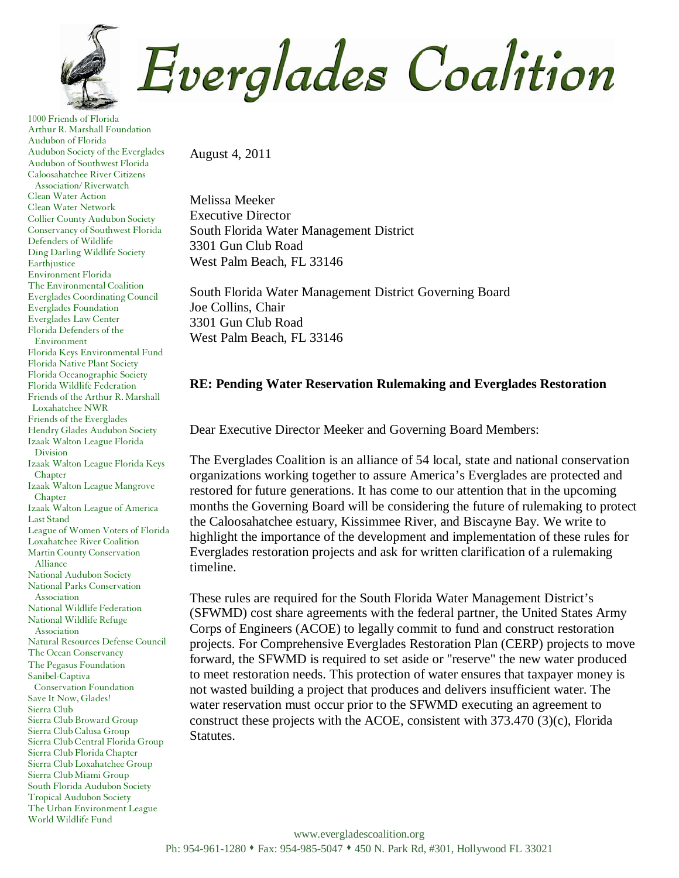

1000 Friends of Florida Arthur R. Marshall Foundation Audubon of Florida Audubon Society of the Everglades Audubon of Southwest Florida Caloosahatchee River Citizens Association/ Riverwatch Clean Water Action Clean Water Network Collier County Audubon Society Conservancy of Southwest Florida Defenders of Wildlife Ding Darling Wildlife Society Earthjustice Environment Florida The Environmental Coalition Everglades Coordinating Council Everglades Foundation Everglades Law Center Florida Defenders of the Environment Florida Keys Environmental Fund Florida Native Plant Society Florida Oceanographic Society Florida Wildlife Federation Friends of the Arthur R. Marshall Loxahatchee NWR Friends of the Everglades Hendry Glades Audubon Society Izaak Walton League Florida Division Izaak Walton League Florida Keys Chapter Izaak Walton League Mangrove Chapter Izaak Walton League of America Last Stand League of Women Voters of Florida Loxahatchee River Coalition Martin County Conservation Alliance National Audubon Society National Parks Conservation Association National Wildlife Federation National Wildlife Refuge Association Natural Resources Defense Council The Ocean Conservancy The Pegasus Foundation Sanibel-Captiva Conservation Foundation Save It Now, Glades! Sierra Club Sierra Club Broward Group Sierra Club Calusa Group Sierra Club Central Florida Group Sierra Club Florida Chapter Sierra Club Loxahatchee Group Sierra Club Miami Group South Florida Audubon Society Tropical Audubon Society The Urban Environment League World Wildlife Fund

August 4, 2011

Melissa Meeker Executive Director South Florida Water Management District 3301 Gun Club Road West Palm Beach, FL 33146

South Florida Water Management District Governing Board Joe Collins, Chair 3301 Gun Club Road West Palm Beach, FL 33146

## **RE: Pending Water Reservation Rulemaking and Everglades Restoration**

Dear Executive Director Meeker and Governing Board Members:

The Everglades Coalition is an alliance of 54 local, state and national conservation organizations working together to assure America's Everglades are protected and restored for future generations. It has come to our attention that in the upcoming months the Governing Board will be considering the future of rulemaking to protect the Caloosahatchee estuary, Kissimmee River, and Biscayne Bay. We write to highlight the importance of the development and implementation of these rules for Everglades restoration projects and ask for written clarification of a rulemaking timeline.

These rules are required for the South Florida Water Management District's (SFWMD) cost share agreements with the federal partner, the United States Army Corps of Engineers (ACOE) to legally commit to fund and construct restoration projects. For Comprehensive Everglades Restoration Plan (CERP) projects to move forward, the SFWMD is required to set aside or "reserve" the new water produced to meet restoration needs. This protection of water ensures that taxpayer money is not wasted building a project that produces and delivers insufficient water. The water reservation must occur prior to the SFWMD executing an agreement to construct these projects with the ACOE, consistent with  $373.470\,(3)(c)$ , Florida Statutes.